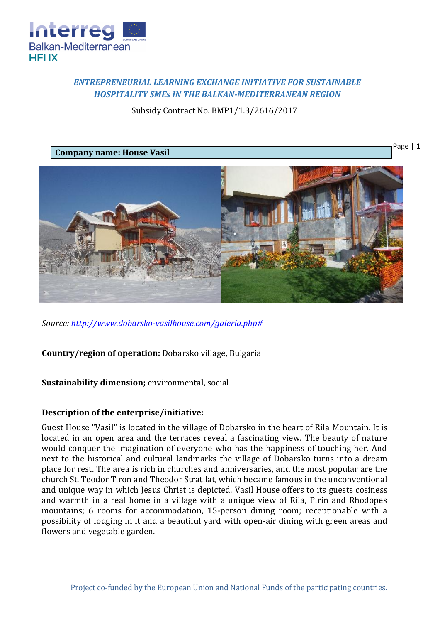

# *ENTREPRENEURIAL LEARNING EXCHANGE INITIATIVE FOR SUSTAINABLE HOSPITALITY SMEs IN THE BALKAN-MEDITERRANEAN REGION*

Subsidy Contract No. BMP1/1.3/2616/2017

Page | 1

**Company name: House Vasil**



*Source: [http://www.dobarsko-vasilhouse.com/galeria.php#](http://www.dobarsko-vasilhouse.com/galeria.php)*

**Country/region of operation:** Dobarsko village, Bulgaria

## **Sustainability dimension;** environmental, social

## **Description of the enterprise/initiative:**

Guest House "Vasil" is located in the village of Dobarsko in the heart of Rila Mountain. It is located in an open area and the terraces reveal a fascinating view. The beauty of nature would conquer the imagination of everyone who has the happiness of touching her. And next to the historical and cultural landmarks the village of Dobarsko turns into a dream place for rest. The area is rich in churches and anniversaries, and the most popular are the church St. Teodor Tiron and Theodor Stratilat, which became famous in the unconventional and unique way in which Jesus Christ is depicted. Vasil House offers to its guests cosiness and warmth in a real home in a village with a unique view of Rila, Pirin and Rhodopes mountains; 6 rooms for accommodation, 15-person dining room; receptionable with a possibility of lodging in it and a beautiful yard with open-air dining with green areas and flowers and vegetable garden.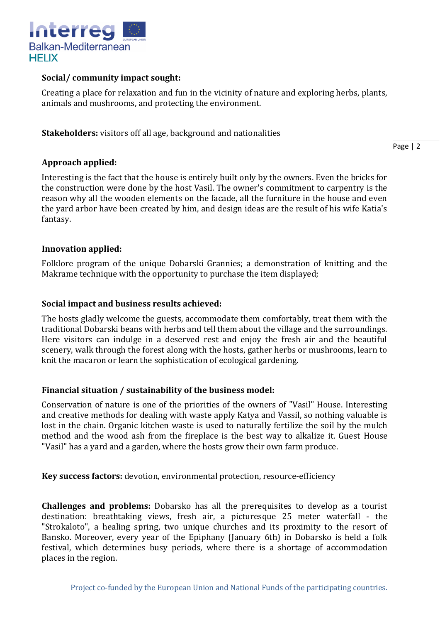

## **Social/ community impact sought:**

Creating a place for relaxation and fun in the vicinity of nature and exploring herbs, plants, animals and mushrooms, and protecting the environment.

**Stakeholders:** visitors off all age, background and nationalities

Page | 2

## **Approach applied:**

Interesting is the fact that the house is entirely built only by the owners. Even the bricks for the construction were done by the host Vasil. The owner's commitment to carpentry is the reason why all the wooden elements on the facade, all the furniture in the house and even the yard arbor have been created by him, and design ideas are the result of his wife Katia's fantasy.

## **Innovation applied:**

Folklore program of the unique Dobarski Grannies; a demonstration of knitting and the Makrame technique with the opportunity to purchase the item displayed;

### **Social impact and business results achieved:**

The hosts gladly welcome the guests, accommodate them comfortably, treat them with the traditional Dobarski beans with herbs and tell them about the village and the surroundings. Here visitors can indulge in a deserved rest and enjoy the fresh air and the beautiful scenery, walk through the forest along with the hosts, gather herbs or mushrooms, learn to knit the macaron or learn the sophistication of ecological gardening.

#### **Financial situation / sustainability of the business model:**

Conservation of nature is one of the priorities of the owners of "Vasil" House. Interesting and creative methods for dealing with waste apply Katya and Vassil, so nothing valuable is lost in the chain. Organic kitchen waste is used to naturally fertilize the soil by the mulch method and the wood ash from the fireplace is the best way to alkalize it. Guest House "Vasil" has a yard and a garden, where the hosts grow their own farm produce.

**Key success factors:** devotion, environmental protection, resource-efficiency

**Challenges and problems:** Dobarsko has all the prerequisites to develop as a tourist destination: breathtaking views, fresh air, a picturesque 25 meter waterfall - the "Strokaloto", a healing spring, two unique churches and its proximity to the resort of Bansko. Moreover, every year of the Epiphany (January 6th) in Dobarsko is held a folk festival, which determines busy periods, where there is a shortage of accommodation places in the region.